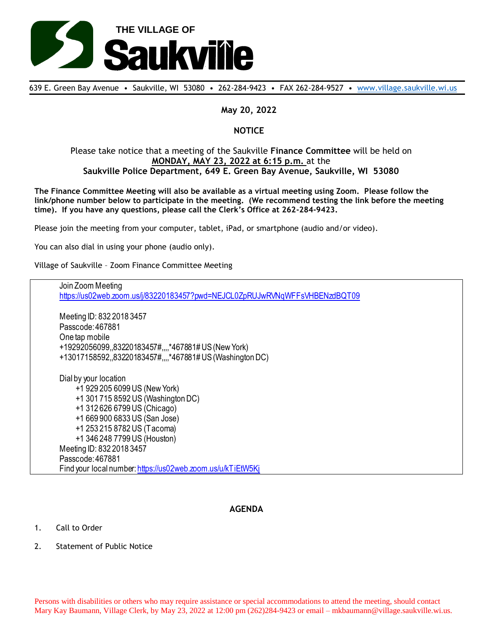

639 E. Green Bay Avenue • Saukville, WI 53080 • 262-284-9423 • FAX 262-284-9527 • [www.village.saukville.wi.us](http://www.village.saukville.wi.us/)

## **May 20, 2022**

## **NOTICE**

## Please take notice that a meeting of the Saukville **Finance Committee** will be held on **MONDAY, MAY 23, 2022 at 6:15 p.m.** at the **Saukville Police Department, 649 E. Green Bay Avenue, Saukville, WI 53080**

**The Finance Committee Meeting will also be available as a virtual meeting using Zoom. Please follow the link/phone number below to participate in the meeting. (We recommend testing the link before the meeting time). If you have any questions, please call the Clerk's Office at 262-284-9423.**

Please join the meeting from your computer, tablet, iPad, or smartphone (audio and/or video).

You can also dial in using your phone (audio only).

Village of Saukville – Zoom Finance Committee Meeting

Join Zoom Meeting https://us02web.zoom.us/j/83220183457?pwd=NEJCL0ZpRUJwRVNqWFFsVHBENzdBQT09 Meeting ID: 832 2018 3457 Passcode: 467881 One tap mobile +19292056099,,83220183457#,,,,\*467881# US (New York) +13017158592,,83220183457#,,,,\*467881# US (Washington DC) Dial by your location +1 929 205 6099 US (New York) +1 301 715 8592 US (Washington DC) +1 312 626 6799 US (Chicago) +1 669 900 6833 US (San Jose) +1 253 215 8782 US (Tacoma) +1 346 248 7799 US (Houston) Meeting ID: 832 2018 3457 Passcode: 467881 Find your local number: https://us02web.zoom.us/u/kTiEtW5Kj

## **AGENDA**

- 1. Call to Order
- 2. Statement of Public Notice